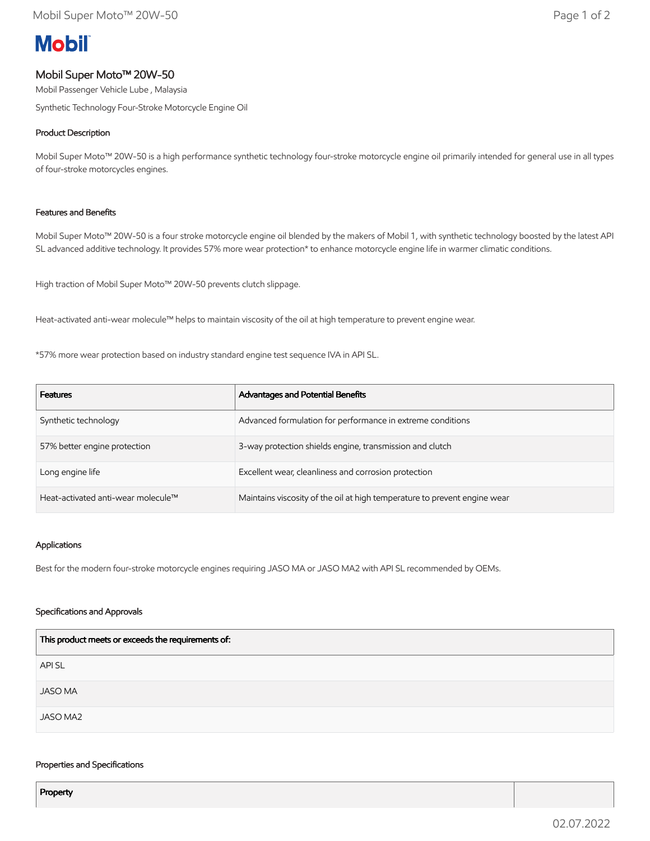# **Mobil**

# Mobil Super Moto™ 20W-50

Mobil Passenger Vehicle Lube , Malaysia

Synthetic Technology Four-Stroke Motorcycle Engine Oil

## Product Description

Mobil Super Moto™ 20W-50 is a high performance synthetic technology four-stroke motorcycle engine oil primarily intended for general use in all types of four-stroke motorcycles engines.

## Features and Benefits

Mobil Super Moto™ 20W-50 is a four stroke motorcycle engine oil blended by the makers of Mobil 1, with synthetic technology boosted by the latest API SL advanced additive technology. It provides 57% more wear protection\* to enhance motorcycle engine life in warmer climatic conditions.

High traction of Mobil Super Moto™ 20W-50 prevents clutch slippage.

Heat-activated anti-wear molecule™ helps to maintain viscosity of the oil at high temperature to prevent engine wear.

\*57% more wear protection based on industry standard engine test sequence IVA in API SL.

| <b>Features</b>                    | Advantages and Potential Benefits                                         |
|------------------------------------|---------------------------------------------------------------------------|
| Synthetic technology               | Advanced formulation for performance in extreme conditions                |
| 57% better engine protection       | 3-way protection shields engine, transmission and clutch                  |
| Long engine life                   | Excellent wear, cleanliness and corrosion protection                      |
| Heat-activated anti-wear molecule™ | Maintains viscosity of the oil at high temperature to prevent engine wear |

## Applications

Best for the modern four-stroke motorcycle engines requiring JASO MA or JASO MA2 with API SL recommended by OEMs.

## Specifications and Approvals

| This product meets or exceeds the requirements of: |  |
|----------------------------------------------------|--|
| API SL                                             |  |
| <b>JASO MA</b>                                     |  |
| JASO MA2                                           |  |

#### Properties and Specifications

Property